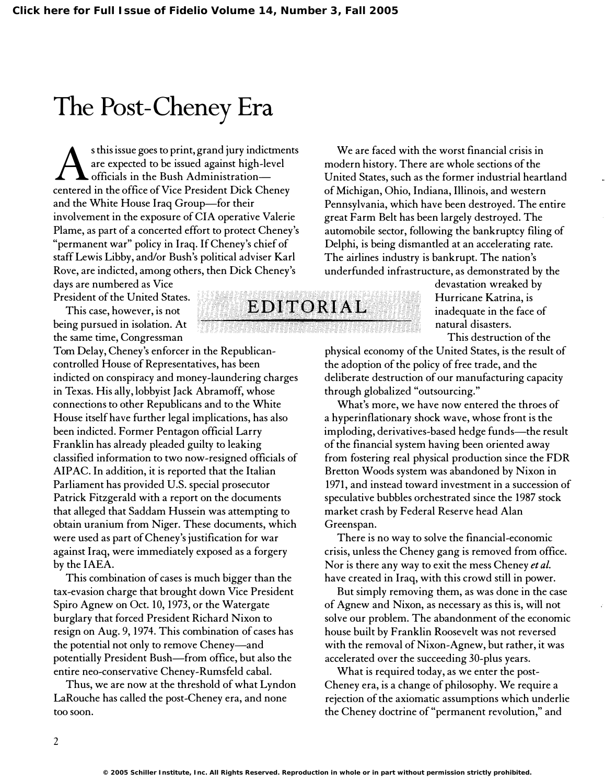## The Post-Cheney Era

s this issue goes to print, grand jury indictments<br>are expected to be issued against high-level<br>officials in the Bush Administration are expected to be issued against high-level officials in the Bush Administrationcentered in the office of Vice President Dick Cheney and the White House Iraq Group-for their involvement in the exposure of CIA operative Valerie Plame, as part of a concerted effort to protect Cheney's "permanent war" policy in Iraq. If Cheney's chief of staff Lewis Libby, and/or Bush's political adviser Karl Rove, are indicted, among others, then Dick Cheney's

days are numbered as Vice President of the United States.

This case, however, is not being pursued in isolation. At the same time, Congressman

Tom Delay, Cheney's enforcer in the Republicancontrolled House of Representatives, has been indicted on conspiracy and money-laundering charges in Texas. His ally, lobbyist Jack Abramoff, whose connections to other Republicans and to the White House itself have further legal implications, has also been indicted. Former Pentagon official Larry Franklin has already pleaded guilty to leaking classified information to two now-resigned officials of AIPAC. In addition, it is reported that the Italian Parliament has provided U.S. special prosecutor Patrick Fitzgerald with a report on the documents that alleged that Saddam Hussein was attempting to obtain uranium from Niger. These documents, which were used as part of Cheney's justification for war against Iraq, were immediately exposed as a forgery by the IAEA.

This combination of cases is much bigger than the tax-evasion charge that brought down Vice President Spiro Agnew on Oct. 10, 1973, or the Watergate burglary that forced President Richard Nixon to resign on Aug. 9,1974. This combination of cases has the potential not only to remove Cheney-and potentially President Bush-from office, but also the entire neo-conservative Cheney-Rumsfeld cabal.

Thus, we are now at the threshold of what Lyndon LaRouche has called the post-Cheney era, and none too soon.

We are faced with the worst financial crisis in modern history. There are whole sections of the United States, such as the former industrial heartland of Michigan, Ohio, Indiana, Illinois, and western Pennsylvania, which have been destroyed. The entire great Farm Belt has been largely destroyed. The automobile sector, following the bankruptcy filing of Delphi, is being dismantled at an accelerating rate. The airlines industry is bankrupt. The nation's underfunded infrastructure, as demonstrated by the

> devastation wreaked by Hurricane Katrina, is inadequate in the face of natural disasters. This destruction of the

physical economy of the United States, is the result of the adoption of the policy of free trade, and the deliberate destruction of our manufacturing capacity through globalized "outsourcing."

What's more, we have now entered the throes of a hyperinflationary shock wave, whose front is the imploding, derivatives-based hedge funds—the result of the financial system having been oriented away from fostering real physical production since the FDR Bretton Woods system was abandoned by Nixon in 1971, and instead toward investment in a succession of speculative bubbles orchestrated since the 1987 stock market crash by Federal Reserve head Alan Greenspan.

There is no way to solve the financial-economic crisis, unless the Cheney gang is removed from office. Nor is there any way to exit the mess Cheney et al. have created in Iraq, with this crowd still in power.

But simply removing them, as was done in the case of Agnew and Nixon, as necessary as this is, will not solve our problem. The abandonment of the economic house built by Franklin Roosevelt was not reversed with the removal of Nixon-Agnew, but rather, it was accelerated over the succeeding 30-plus years.

What is required today, as we enter the post-Cheney era, is a change of philosophy. We require a rejection of the axiomatic assumptions which underlie the Cheney doctrine of "permanent revolution," and